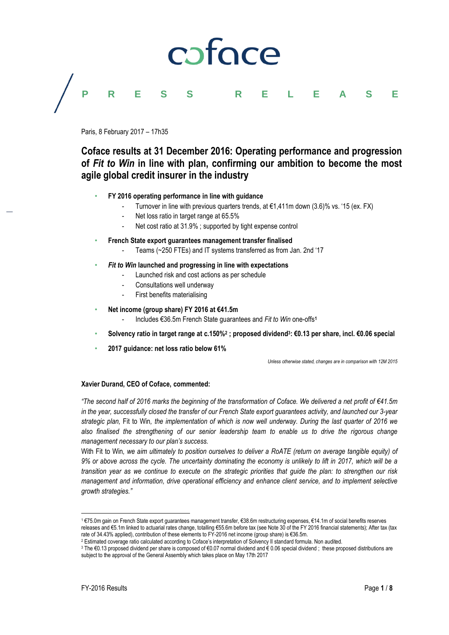# caface **PRESS RELEASE**

Paris, 8 February 2017 – 17h35

# **Coface results at 31 December 2016: Operating performance and progression of** *Fit to Win* **in line with plan, confirming our ambition to become the most agile global credit insurer in the industry**

- **FY 2016 operating performance in line with guidance**
	- Turnover in line with previous quarters trends, at  $\epsilon$ 1,411m down (3.6)% vs. '15 (ex. FX)
	- Net loss ratio in target range at 65.5%
	- Net cost ratio at 31.9%; supported by tight expense control
- **French State export guarantees management transfer finalised**
	- Teams (~250 FTEs) and IT systems transferred as from Jan. 2nd '17
- *Fit to Win* **launched and progressing in line with expectations**
	- Launched risk and cost actions as per schedule
	- Consultations well underway
	- First benefits materialising
- **Net income (group share) FY 2016 at €41.5m**
	- Includes €36.5m French State guarantees and *Fit to Win* one-offs**<sup>1</sup>**
- **Solvency ratio in target range at c.150%<sup>2</sup> ; proposed dividend<sup>3</sup> : €0.13 per share, incl. €0.06 special**
- **2017 guidance: net loss ratio below 61%**

*Unless otherwise stated, changes are in comparison with 12M 2015*

# **Xavier Durand, CEO of Coface, commented:**

*"The second half of 2016 marks the beginning of the transformation of Coface. We delivered a net profit of €41.5m in the year, successfully closed the transfer of our French State export guarantees activity, and launched our 3-year strategic plan,* Fit to Win*, the implementation of which is now well underway. During the last quarter of 2016 we also finalised the strengthening of our senior leadership team to enable us to drive the rigorous change management necessary to our plan's success.*

With Fit to Win*, we aim ultimately to position ourselves to deliver a RoATE (return on average tangible equity) of 9% or above across the cycle. The uncertainty dominating the economy is unlikely to lift in 2017, which will be a transition year as we continue to execute on the strategic priorities that guide the plan: to strengthen our risk management and information, drive operational efficiency and enhance client service, and to implement selective growth strategies."*

 $\overline{\phantom{a}}$ 

<sup>1</sup> €75.0m gain on French State export guarantees management transfer, €38.6m restructuring expenses, €14.1m of social benefits reserves releases and €5.1m linked to actuarial rates change, totalling €55.6m before tax (see Note 30 of the FY 2016 financial statements); After tax (tax rate of 34.43% applied), contribution of these elements to FY-2016 net income (group share) is €36.5m.

<sup>2</sup> Estimated coverage ratio calculated according to Coface's interpretation of Solvency II standard formula. Non audited.

<sup>3</sup> The €0.13 proposed dividend per share is composed of €0.07 normal dividend and € 0.06 special dividend ; these proposed distributions are subject to the approval of the General Assembly which takes place on May 17th 2017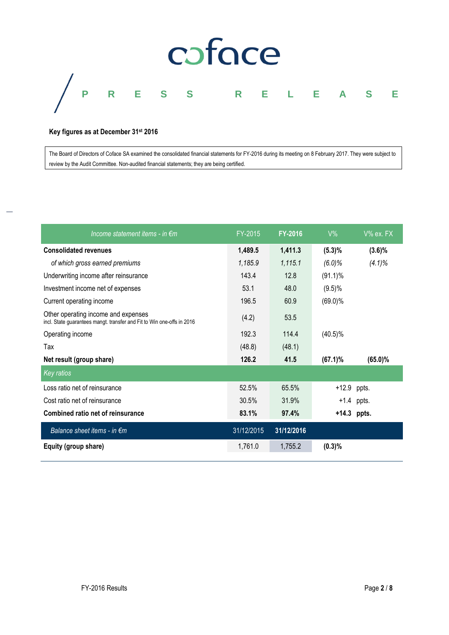

#### **Key figures as at December 31 st 2016**

The Board of Directors of Coface SA examined the consolidated financial statements for FY-2016 during its meeting on 8 February 2017. They were subject to review by the Audit Committee. Non-audited financial statements; they are being certified.

| Income statement items - in $\epsilon$ m                                                                      | FY-2015    | <b>FY-2016</b> | $V\%$      | $V\%$ ex. FX |
|---------------------------------------------------------------------------------------------------------------|------------|----------------|------------|--------------|
| <b>Consolidated revenues</b>                                                                                  | 1,489.5    | 1,411.3        | (5.3)%     | $(3.6)\%$    |
| of which gross earned premiums                                                                                | 1,185.9    | 1,115.1        | $(6.0)\%$  | $(4.1)\%$    |
| Underwriting income after reinsurance                                                                         | 143.4      | 12.8           | $(91.1)\%$ |              |
| Investment income net of expenses                                                                             | 53.1       | 48.0           | $(9.5)\%$  |              |
| Current operating income                                                                                      | 196.5      | 60.9           | $(69.0)\%$ |              |
| Other operating income and expenses<br>incl. State guarantees mangt. transfer and Fit to Win one-offs in 2016 | (4.2)      | 53.5           |            |              |
| Operating income                                                                                              | 192.3      | 114.4          | $(40.5)\%$ |              |
| Tax                                                                                                           | (48.8)     | (48.1)         |            |              |
| Net result (group share)                                                                                      | 126.2      | 41.5           | $(67.1)\%$ | $(65.0)\%$   |
| <b>Key ratios</b>                                                                                             |            |                |            |              |
| Loss ratio net of reinsurance                                                                                 | 52.5%      | 65.5%          | $+12.9$    | ppts.        |
| Cost ratio net of reinsurance                                                                                 | 30.5%      | 31.9%          |            | $+1.4$ ppts. |
| Combined ratio net of reinsurance                                                                             | 83.1%      | 97.4%          |            | +14.3 ppts.  |
| Balance sheet items - in $\epsilon$ m                                                                         | 31/12/2015 | 31/12/2016     |            |              |
| Equity (group share)                                                                                          | 1,761.0    | 1,755.2        | (0.3)%     |              |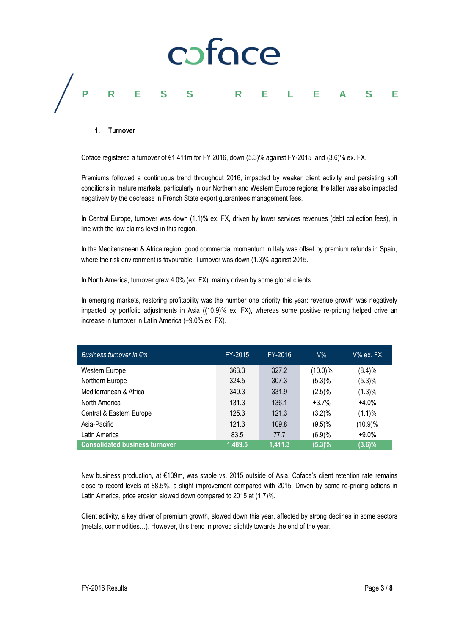

#### **1. Turnover**

Coface registered a turnover of  $\epsilon$ 1,411m for FY 2016, down (5.3)% against FY-2015 and (3.6)% ex. FX.

Premiums followed a continuous trend throughout 2016, impacted by weaker client activity and persisting soft conditions in mature markets, particularly in our Northern and Western Europe regions; the latter was also impacted negatively by the decrease in French State export guarantees management fees.

In Central Europe, turnover was down (1.1)% ex. FX, driven by lower services revenues (debt collection fees), in line with the low claims level in this region.

In the Mediterranean & Africa region, good commercial momentum in Italy was offset by premium refunds in Spain, where the risk environment is favourable. Turnover was down (1.3)% against 2015.

In North America, turnover grew 4.0% (ex. FX), mainly driven by some global clients.

In emerging markets, restoring profitability was the number one priority this year: revenue growth was negatively impacted by portfolio adjustments in Asia ((10.9)% ex. FX), whereas some positive re-pricing helped drive an increase in turnover in Latin America (+9.0% ex. FX).

| Business turnover in $\epsilon$ m     | FY-2015 | FY-2016 | $V\%$      | V% ex. FX . |
|---------------------------------------|---------|---------|------------|-------------|
| Western Europe                        | 363.3   | 327.2   | $(10.0)\%$ | (8.4)%      |
| Northern Europe                       | 324.5   | 307.3   | (5.3)%     | (5.3)%      |
| Mediterranean & Africa                | 340.3   | 331.9   | $(2.5)\%$  | $(1.3)\%$   |
| North America                         | 131.3   | 136.1   | $+3.7%$    | $+4.0%$     |
| Central & Eastern Europe              | 125.3   | 121.3   | $(3.2)\%$  | $(1.1)\%$   |
| Asia-Pacific                          | 121.3   | 109.8   | (9.5)%     | (10.9)%     |
| Latin America                         | 83.5    | 77.7    | (6.9)%     | $+9.0%$     |
| <b>Consolidated business turnover</b> | 1,489.5 | 1.411.3 | (5.3)%     | $(3.6)\%$   |

New business production, at €139m, was stable vs. 2015 outside of Asia. Coface's client retention rate remains close to record levels at 88.5%, a slight improvement compared with 2015. Driven by some re-pricing actions in Latin America, price erosion slowed down compared to 2015 at (1.7)%.

Client activity, a key driver of premium growth, slowed down this year, affected by strong declines in some sectors (metals, commodities…). However, this trend improved slightly towards the end of the year.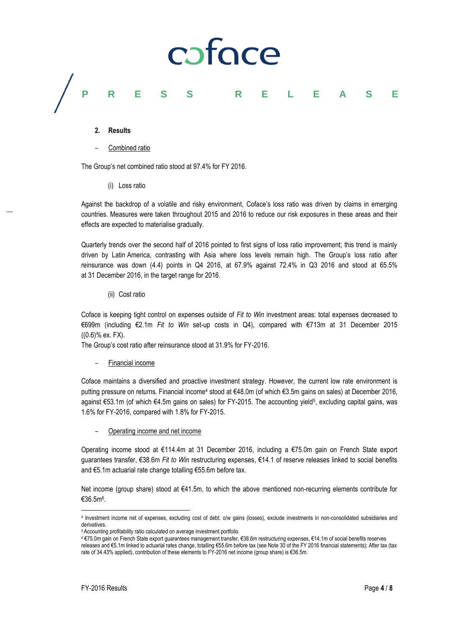# caface **PRESS RELEASE**

- **2. Results**
- Combined ratio

The Group's net combined ratio stood at 97.4% for FY 2016.

(i) Loss ratio

Against the backdrop of a volatile and risky environment, Coface's loss ratio was driven by claims in emerging countries. Measures were taken throughout 2015 and 2016 to reduce our risk exposures in these areas and their effects are expected to materialise gradually.

Quarterly trends over the second half of 2016 pointed to first signs of loss ratio improvement; this trend is mainly driven by Latin America, contrasting with Asia where loss levels remain high. The Group's loss ratio after reinsurance was down (4.4) points in Q4 2016, at 67.9% against 72.4% in Q3 2016 and stood at 65.5% at 31 December 2016, in the target range for 2016.

(ii) Cost ratio

Coface is keeping tight control on expenses outside of *Fit to Win* investment areas: total expenses decreased to €699m (including €2.1m *Fit to Win* set-up costs in Q4), compared with €713m at 31 December 2015 ((0.6)% ex. FX).

The Group's cost ratio after reinsurance stood at 31.9% for FY-2016.

– Financial income

Coface maintains a diversified and proactive investment strategy. However, the current low rate environment is putting pressure on returns. Financial income<sup>4</sup> stood at €48.0m (of which €3.5m gains on sales) at December 2016, against €53.1m (of which €4.5m gains on sales) for FY-2015. The accounting yield<sup>5</sup>, excluding capital gains, was 1.6% for FY-2016, compared with 1.8% for FY-2015.

– Operating income and net income

Operating income stood at €114.4m at 31 December 2016, including a €75.0m gain on French State export guarantees transfer, €38.6m *Fit to Win* restructuring expenses, €14.1 of reserve releases linked to social benefits and €5.1m actuarial rate change totalling €55.6m before tax.

Net income (group share) stood at €41.5m, to which the above mentioned non-recurring elements contribute for €36.5m<sup>6</sup> .

 $\overline{\phantom{a}}$ 

<sup>4</sup> Investment income net of expenses, excluding cost of debt. o/w gains (losses), exclude investments in non-consolidated subsidiaries and derivatives.

<sup>5</sup> Accounting profitability ratio calculated on average investment portfolio

<sup>6</sup> €75.0m gain on French State export guarantees management transfer, €38.6m restructuring expenses, €14.1m of social benefits reserves releases and €5.1m linked to actuarial rates change, totalling €55.6m before tax (see Note 30 of the FY 2016 financial statements); After tax (tax rate of 34.43% applied), contribution of these elements to FY-2016 net income (group share) is €36.5m.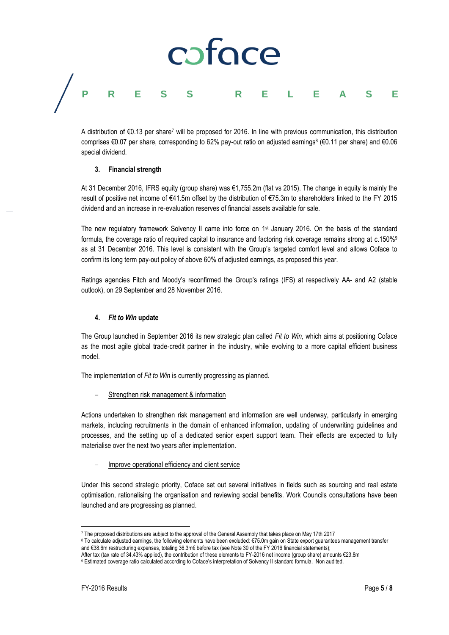# caface **PRESS RELEASE**

A distribution of €0.13 per share<sup>7</sup> will be proposed for 2016. In line with previous communication, this distribution comprises €0.07 per share, corresponding to 62% pay-out ratio on adjusted earnings<sup>8</sup> (€0.11 per share) and €0.06 special dividend.

### **3. Financial strength**

At 31 December 2016, IFRS equity (group share) was €1,755.2m (flat vs 2015). The change in equity is mainly the result of positive net income of €41.5m offset by the distribution of €75.3m to shareholders linked to the FY 2015 dividend and an increase in re-evaluation reserves of financial assets available for sale.

The new regulatory framework Solvency II came into force on 1st January 2016. On the basis of the standard formula, the coverage ratio of required capital to insurance and factoring risk coverage remains strong at c.150%<sup>9</sup> as at 31 December 2016. This level is consistent with the Group's targeted comfort level and allows Coface to confirm its long term pay-out policy of above 60% of adjusted earnings, as proposed this year.

Ratings agencies Fitch and Moody's reconfirmed the Group's ratings (IFS) at respectively AA- and A2 (stable outlook), on 29 September and 28 November 2016.

# **4.** *Fit to Win* **update**

The Group launched in September 2016 its new strategic plan called *Fit to Win,* which aims at positioning Coface as the most agile global trade-credit partner in the industry, while evolving to a more capital efficient business model.

The implementation of *Fit to Win* is currently progressing as planned.

– Strengthen risk management & information

Actions undertaken to strengthen risk management and information are well underway, particularly in emerging markets, including recruitments in the domain of enhanced information, updating of underwriting guidelines and processes, and the setting up of a dedicated senior expert support team. Their effects are expected to fully materialise over the next two years after implementation.

– Improve operational efficiency and client service

Under this second strategic priority, Coface set out several initiatives in fields such as sourcing and real estate optimisation, rationalising the organisation and reviewing social benefits. Work Councils consultations have been launched and are progressing as planned.

9 Estimated coverage ratio calculated according to Coface's interpretation of Solvency II standard formula. Non audited.

 $\overline{\phantom{a}}$ <sup>7</sup> The proposed distributions are subject to the approval of the General Assembly that takes place on May 17th 2017

<sup>8</sup> To calculate adjusted earnings, the following elements have been excluded: €75.0m gain on State export guarantees management transfer and €38.6m restructuring expenses, totaling 36.3m€ before tax (see Note 30 of the FY 2016 financial statements);

After tax (tax rate of 34.43% applied), the contribution of these elements to FY-2016 net income (group share) amounts €23.8m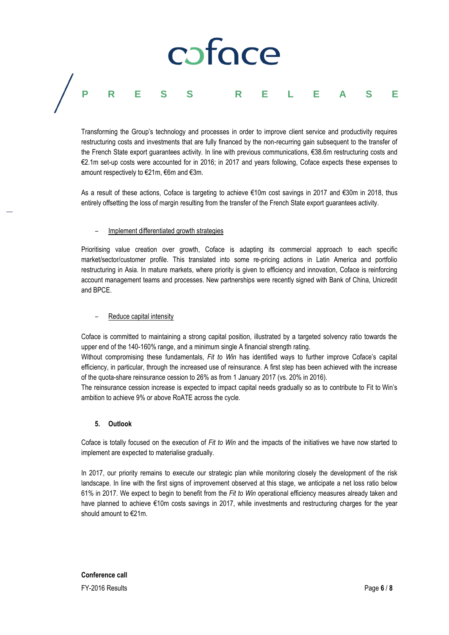# coface **PRESS RELEASE**

Transforming the Group's technology and processes in order to improve client service and productivity requires restructuring costs and investments that are fully financed by the non-recurring gain subsequent to the transfer of the French State export guarantees activity. In line with previous communications, €38.6m restructuring costs and €2.1m set-up costs were accounted for in 2016; in 2017 and years following, Coface expects these expenses to amount respectively to €21m, €6m and €3m.

As a result of these actions, Coface is targeting to achieve €10m cost savings in 2017 and €30m in 2018, thus entirely offsetting the loss of margin resulting from the transfer of the French State export guarantees activity.

### – Implement differentiated growth strategies

Prioritising value creation over growth, Coface is adapting its commercial approach to each specific market/sector/customer profile. This translated into some re-pricing actions in Latin America and portfolio restructuring in Asia. In mature markets, where priority is given to efficiency and innovation, Coface is reinforcing account management teams and processes. New partnerships were recently signed with Bank of China, Unicredit and BPCE.

### – Reduce capital intensity

Coface is committed to maintaining a strong capital position, illustrated by a targeted solvency ratio towards the upper end of the 140-160% range, and a minimum single A financial strength rating.

Without compromising these fundamentals, *Fit to Win* has identified ways to further improve Coface's capital efficiency, in particular, through the increased use of reinsurance. A first step has been achieved with the increase of the quota-share reinsurance cession to 26% as from 1 January 2017 (vs. 20% in 2016).

The reinsurance cession increase is expected to impact capital needs gradually so as to contribute to Fit to Win's ambition to achieve 9% or above RoATE across the cycle.

# **5. Outlook**

Coface is totally focused on the execution of *Fit to Win* and the impacts of the initiatives we have now started to implement are expected to materialise gradually.

In 2017, our priority remains to execute our strategic plan while monitoring closely the development of the risk landscape. In line with the first signs of improvement observed at this stage, we anticipate a net loss ratio below 61% in 2017. We expect to begin to benefit from the *Fit to Win* operational efficiency measures already taken and have planned to achieve €10m costs savings in 2017, while investments and restructuring charges for the year should amount to €21m.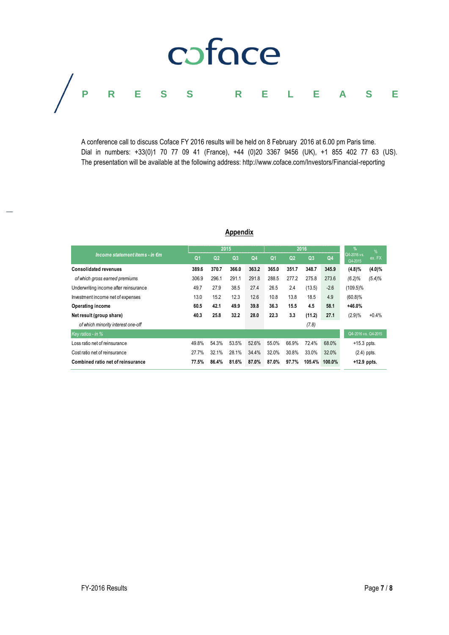# coface **PRESS RELEASE**

A conference call to discuss Coface FY 2016 results will be held on 8 February 2016 at 6.00 pm Paris time. Dial in numbers: +33(0)1 70 77 09 41 (France), +44 (0)20 3367 9456 (UK), +1 855 402 77 63 (US). The presentation will be available at the following address: http://www.coface.com/Investors/Financial-reporting

# **Appendix**

| Appendix                              |                |                |                |                |                |                |                |                |                        |           |
|---------------------------------------|----------------|----------------|----------------|----------------|----------------|----------------|----------------|----------------|------------------------|-----------|
| Income statement items - in €m        | 2015           |                |                | 2016           |                |                |                | $\%$           | $\frac{9}{6}$          |           |
|                                       | Q <sub>1</sub> | Q <sub>2</sub> | Q <sub>3</sub> | Q <sub>4</sub> | Q <sub>1</sub> | Q <sub>2</sub> | Q <sub>3</sub> | Q <sub>4</sub> | Q4-2016 vs.<br>Q4-2015 | ex. FX    |
| <b>Consolidated revenues</b>          | 389.6          | 370.7          | 366.0          | 363.2          | 365.0          | 351.7          | 348.7          | 345.9          | (4.8)%                 | $(4.0)\%$ |
| of which gross earned premiums        | 306.9          | 296.1          | 291.1          | 291.8          | 288.5          | 277.2          | 275.8          | 273.6          | (6.2)%                 | $(5.4)\%$ |
| Underwriting income after reinsurance | 49.7           | 27.9           | 38.5           | 27.4           | 26.5           | 2.4            | (13.5)         | $-2.6$         | $(109.5)\%$            |           |
| Investment income net of expenses     | 13.0           | 15.2           | 12.3           | 12.6           | 10.8           | 13.8           | 18.5           | 4.9            | (60.8)%                |           |
| <b>Operating income</b>               | 60.5           | 42.1           | 49.9           | 39.8           | 36.3           | 15.5           | 4.5            | 58.1           | $+46.0%$               |           |
| Net result (group share)              | 40.3           | 25.8           | 32.2           | 28.0           | 22.3           | 3.3            | (11.2)         | 27.1           | (2.9)%                 | $+0.4%$   |
| of which minority interest one-off    |                |                |                |                |                |                | (7.8)          |                |                        |           |
| Key ratios - in %                     |                |                |                |                |                |                |                |                | Q4-2016 vs. Q4-2015    |           |
| Loss ratio net of reinsurance         | 49.8%          | 54.3%          | 53.5%          | 52.6%          | 55.0%          | 66.9%          | 72.4%          | 68.0%          | $+15.3$ ppts.          |           |
| Cost ratio net of reinsurance         | 27.7%          | 32.1%          | 28.1%          | 34.4%          | 32.0%          | 30.8%          | 33.0%          | 32.0%          | $(2.4)$ ppts.          |           |
| Combined ratio net of reinsurance     | 77.5%          | 86.4%          | 81.6%          | 87.0%          | 87.0%          | 97.7%          | 105.4%         | 100.0%         | $+12.9$ ppts.          |           |